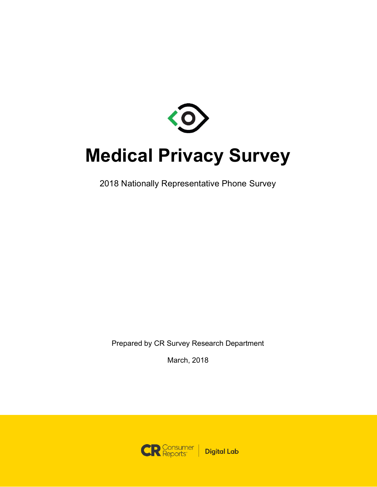

# **Medical Privacy Survey**

2018 Nationally Representative Phone Survey

Prepared by CR Survey Research Department

March, 2018

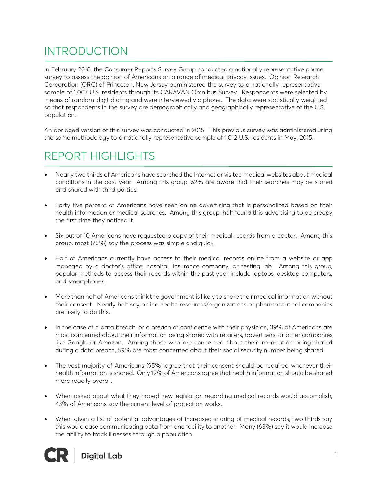# INTRODUCTION

In February 2018, the Consumer Reports Survey Group conducted a nationally representative phone survey to assess the opinion of Americans on a range of medical privacy issues. Opinion Research Corporation (ORC) of Princeton, New Jersey administered the survey to a nationally representative sample of 1,007 U.S. residents through its CARAVAN Omnibus Survey. Respondents were selected by means of random-digit dialing and were interviewed via phone. The data were statistically weighted so that respondents in the survey are demographically and geographically representative of the U.S. population.

An abridged version of this survey was conducted in 2015. This previous survey was administered using the same methodology to a nationally representative sample of 1,012 U.S. residents in May, 2015.

# REPORT HIGHLIGHTS

- Nearly two thirds of Americans have searched the Internet or visited medical websites about medical conditions in the past year. Among this group, 62% are aware that their searches may be stored and shared with third parties.
- Forty five percent of Americans have seen online advertising that is personalized based on their health information or medical searches. Among this group, half found this advertising to be creepy the first time they noticed it.
- Six out of 10 Americans have requested a copy of their medical records from a doctor. Among this group, most (76%) say the process was simple and quick.
- Half of Americans currently have access to their medical records online from a website or app managed by a doctor's office, hospital, insurance company, or testing lab. Among this group, popular methods to access their records within the past year include laptops, desktop computers, and smartphones.
- More than half of Americans think the government is likely to share their medical information without their consent. Nearly half say online health resources/organizations or pharmaceutical companies are likely to do this.
- In the case of a data breach, or a breach of confidence with their physician, 39% of Americans are most concerned about their information being shared with retailers, advertisers, or other companies like Google or Amazon. Among those who are concerned about their information being shared during a data breach, 59% are most concerned about their social security number being shared.
- The vast majority of Americans (95%) agree that their consent should be required whenever their health information is shared. Only 12% of Americans agree that health information should be shared more readily overall.
- When asked about what they hoped new legislation regarding medical records would accomplish, 43% of Americans say the current level of protection works.
- When given a list of potential advantages of increased sharing of medical records, two thirds say this would ease communicating data from one facility to another. Many (63%) say it would increase the ability to track illnesses through a population.

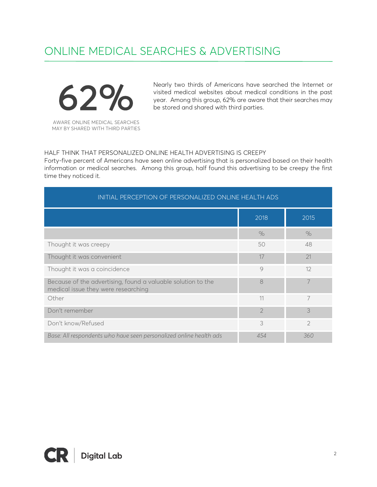# ONLINE MEDICAL SEARCHES & ADVERTISING



Nearly two thirds of Americans have searched the Internet or visited medical websites about medical conditions in the past year. Among this group, 62% are aware that their searches may be stored and shared with third parties.

### HALF THINK THAT PERSONALIZED ONLINE HEALTH ADVERTISING IS CREEPY

Forty-five percent of Americans have seen online advertising that is personalized based on their health information or medical searches. Among this group, half found this advertising to be creepy the first time they noticed it.

| INITIAL PERCEPTION OF PERSONALIZED ONLINE HEALTH ADS                                                |                |                |
|-----------------------------------------------------------------------------------------------------|----------------|----------------|
|                                                                                                     | 2018           | 2015           |
|                                                                                                     | $\%$           | $\%$           |
| Thought it was creepy                                                                               | 50             | 48             |
| Thought it was convenient                                                                           | 17             | 21             |
| Thought it was a coincidence                                                                        | 9              | 12             |
| Because of the advertising, found a valuable solution to the<br>medical issue they were researching | 8              |                |
| Other                                                                                               | 11             | 7              |
| Don't remember                                                                                      | $\overline{2}$ | 3              |
| Don't know/Refused                                                                                  | 3              | $\overline{2}$ |
| Base: All respondents who have seen personalized online health ads                                  | 454            | 360            |

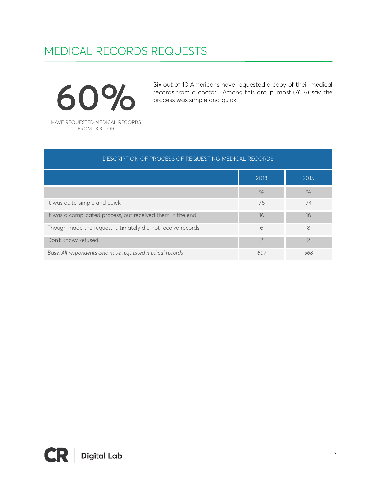# MEDICAL RECORDS REQUESTS

60% HAVE REQUESTED MEDICAL RECORDS FROM DOCTOR

Six out of 10 Americans have requested a copy of their medical records from a doctor. Among this group, most (76%) say the process was simple and quick.

| DESCRIPTION OF PROCESS OF REQUESTING MEDICAL RECORDS        |                |               |
|-------------------------------------------------------------|----------------|---------------|
|                                                             | 2018           | 2015          |
|                                                             | $\%$           | $\%$          |
| It was quite simple and quick                               | 76             | 74            |
| It was a complicated process, but received them in the end  | 16             | 16            |
| Though made the request, ultimately did not receive records | 6              | 8             |
| Don't know/Refused                                          | $\mathfrak{D}$ | $\mathcal{D}$ |
| Base: All respondents who have requested medical records    | 607            | 568           |

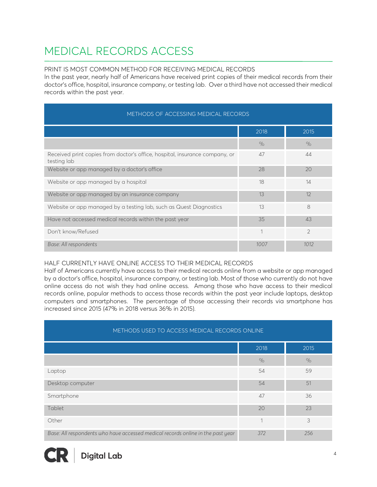# MEDICAL RECORDS ACCESS

### PRINT IS MOST COMMON METHOD FOR RECEIVING MEDICAL RECORDS

In the past year, nearly half of Americans have received print copies of their medical records from their doctor's office, hospital, insurance company, or testing lab. Over a third have not accessed their medical records within the past year.

| METHODS OF ACCESSING MEDICAL RECORDS                                                       |      |                |
|--------------------------------------------------------------------------------------------|------|----------------|
|                                                                                            | 2018 | 2015           |
|                                                                                            | $\%$ | $\%$           |
| Received print copies from doctor's office, hospital, insurance company, or<br>testing lab | 47   | 44             |
| Website or app managed by a doctor's office                                                | 28   | 20             |
| Website or app managed by a hospital                                                       | 18   | 14             |
| Website or app managed by an insurance company                                             | 13   | 12             |
| Website or app managed by a testing lab, such as Quest Diagnostics                         | 13   | 8              |
| Have not accessed medical records within the past year                                     | 35   | 43             |
| Don't know/Refused                                                                         | 1    | $\overline{2}$ |
| Base: All respondents                                                                      | 1007 | 1012           |

### HALF CURRENTLY HAVE ONLINE ACCESS TO THEIR MEDICAL RECORDS

Half of Americans currently have access to their medical records online from a website or app managed by a doctor's office, hospital, insurance company, or testing lab. Most of those who currently do not have online access do not wish they had online access. Among those who have access to their medical records online, popular methods to access those records within the past year include laptops, desktop computers and smartphones. The percentage of those accessing their records via smartphone has increased since 2015 (47% in 2018 versus 36% in 2015).

| METHODS USED TO ACCESS MEDICAL RECORDS ONLINE                                   |                |      |
|---------------------------------------------------------------------------------|----------------|------|
|                                                                                 | 2018           | 2015 |
|                                                                                 | $\%$           | $\%$ |
| Laptop                                                                          | 54             | 59   |
| Desktop computer                                                                | 54             | 51   |
| Smartphone                                                                      | 47             | 36   |
| Tablet                                                                          | 20             | 23   |
| Other                                                                           | $\overline{ }$ | 3    |
| Base: All respondents who have accessed medical records online in the past year | 372            | 256  |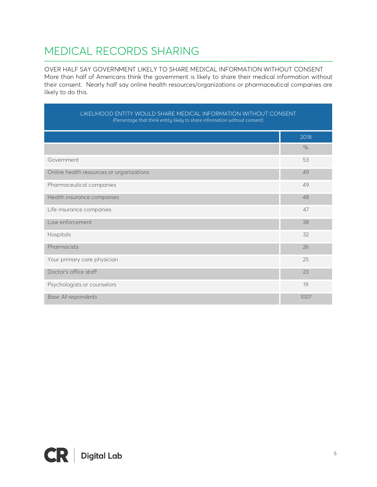# MEDICAL RECORDS SHARING

OVER HALF SAY GOVERNMENT LIKELY TO SHARE MEDICAL INFORMATION WITHOUT CONSENT More than half of Americans think the government is likely to share their medical information without their consent. Nearly half say online health resources/organizations or pharmaceutical companies are likely to do this.

| LIKELIHOOD ENTITY WOULD SHARE MEDICAL INFORMATION WITHOUT CONSENT<br>(Percentage that think entity likely to share information without consent) |      |
|-------------------------------------------------------------------------------------------------------------------------------------------------|------|
|                                                                                                                                                 | 2018 |
|                                                                                                                                                 | $\%$ |
| Government                                                                                                                                      | 53   |
| Online health resources or organizations                                                                                                        | 49   |
| Pharmaceutical companies                                                                                                                        | 49   |
| Health insurance companies                                                                                                                      | 48   |
| Life insurance companies                                                                                                                        | 47   |
| Law enforcement                                                                                                                                 | 38   |
| Hospitals                                                                                                                                       | 32   |
| Pharmacists                                                                                                                                     | 26   |
| Your primary care physician                                                                                                                     | 25   |
| Doctor's office staff                                                                                                                           | 23   |
| Psychologists or counselors                                                                                                                     | 19   |
| Base: All respondents                                                                                                                           | 1007 |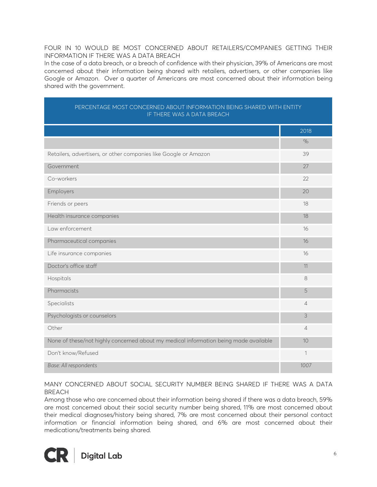#### FOUR IN 10 WOULD BE MOST CONCERNED ABOUT RETAILERS/COMPANIES GETTING THEIR INFORMATION IF THERE WAS A DATA BREACH

In the case of a data breach, or a breach of confidence with their physician, 39% of Americans are most concerned about their information being shared with retailers, advertisers, or other companies like Google or Amazon. Over a quarter of Americans are most concerned about their information being shared with the government.

| PERCENTAGE MOST CONCERNED ABOUT INFORMATION BEING SHARED WITH ENTITY<br>IF THERE WAS A DATA BREACH |                |
|----------------------------------------------------------------------------------------------------|----------------|
|                                                                                                    | 2018           |
|                                                                                                    | $\%$           |
| Retailers, advertisers, or other companies like Google or Amazon                                   | 39             |
| Government                                                                                         | 27             |
| Co-workers                                                                                         | 22             |
| Employers                                                                                          | 20             |
| Friends or peers                                                                                   | 18             |
| Health insurance companies                                                                         | 18             |
| Law enforcement                                                                                    | 16             |
| Pharmaceutical companies                                                                           | 16             |
| Life insurance companies                                                                           | 16             |
| Doctor's office staff                                                                              | 11             |
| Hospitals                                                                                          | 8              |
| Pharmacists                                                                                        | 5              |
| Specialists                                                                                        | $\overline{4}$ |
| Psychologists or counselors                                                                        | 3              |
| Other                                                                                              | $\overline{4}$ |
| None of these/not highly concerned about my medical information being made available               | 10             |
| Don't know/Refused                                                                                 | $\mathbf{1}$   |
| Base: All respondents                                                                              | 1007           |

### MANY CONCERNED ABOUT SOCIAL SECURITY NUMBER BEING SHARED IF THERE WAS A DATA BREACH

Among those who are concerned about their information being shared if there was a data breach, 59% are most concerned about their social security number being shared, 11% are most concerned about their medical diagnoses/history being shared, 7% are most concerned about their personal contact information or financial information being shared, and 6% are most concerned about their medications/treatments being shared.

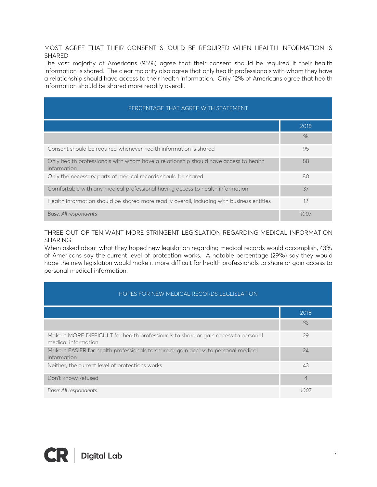MOST AGREE THAT THEIR CONSENT SHOULD BE REQUIRED WHEN HEALTH INFORMATION IS SHARED

The vast majority of Americans (95%) agree that their consent should be required if their health information is shared. The clear majority also agree that only health professionals with whom they have a relationship should have access to their health information. Only 12% of Americans agree that health information should be shared more readily overall.

| PERCENTAGE THAT AGREE WITH STATEMENT                                                                |      |  |
|-----------------------------------------------------------------------------------------------------|------|--|
|                                                                                                     | 2018 |  |
|                                                                                                     | $\%$ |  |
| Consent should be required whenever health information is shared                                    | 95   |  |
| Only health professionals with whom have a relationship should have access to health<br>information | 88   |  |
| Only the necessary parts of medical records should be shared                                        | 80   |  |
| Comfortable with any medical professional having access to health information                       | 37   |  |
| Health information should be shared more readily overall, including with business entities          | 12   |  |
| Base: All respondents                                                                               | 1007 |  |

THREE OUT OF TEN WANT MORE STRINGENT LEGISLATION REGARDING MEDICAL INFORMATION SHARING

When asked about what they hoped new legislation regarding medical records would accomplish, 43% of Americans say the current level of protection works. A notable percentage (29%) say they would hope the new legislation would make it more difficult for health professionals to share or gain access to personal medical information.

| HOPES FOR NEW MEDICAL RECORDS LEGLISLATION                                                                 |                |
|------------------------------------------------------------------------------------------------------------|----------------|
|                                                                                                            | 2018           |
|                                                                                                            | $\%$           |
| Make it MORE DIFFICULT for health professionals to share or gain access to personal<br>medical information | 29             |
| Make it EASIER for health professionals to share or gain access to personal medical<br>information         | 24             |
| Neither, the current level of protections works                                                            | 43             |
| Don't know/Refused                                                                                         | $\overline{4}$ |
| Base: All respondents                                                                                      | 1007           |

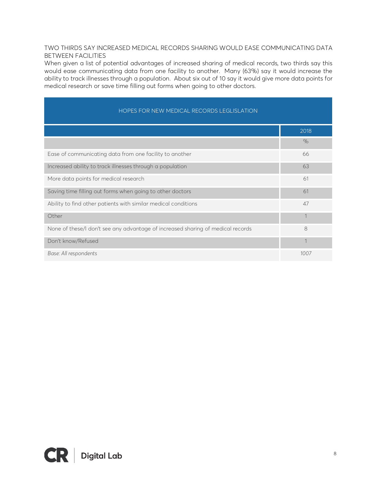### TWO THIRDS SAY INCREASED MEDICAL RECORDS SHARING WOULD EASE COMMUNICATING DATA BETWEEN FACILITIES

When given a list of potential advantages of increased sharing of medical records, two thirds say this would ease communicating data from one facility to another. Many (63%) say it would increase the ability to track illnesses through a population. About six out of 10 say it would give more data points for medical research or save time filling out forms when going to other doctors.

| HOPES FOR NEW MEDICAL RECORDS LEGLISLATION                                      |                |
|---------------------------------------------------------------------------------|----------------|
|                                                                                 | 2018           |
|                                                                                 | $\%$           |
| Ease of communicating data from one facility to another                         | 66             |
| Increased ability to track illnesses through a population                       | 63             |
| More data points for medical research                                           | 61             |
| Saving time filling out forms when going to other doctors                       | 61             |
| Ability to find other patients with similar medical conditions                  | 47             |
| Other                                                                           |                |
| None of these/I don't see any advantage of increased sharing of medical records | 8              |
| Don't know/Refused                                                              | $\overline{1}$ |
| Base: All respondents                                                           | 1007           |